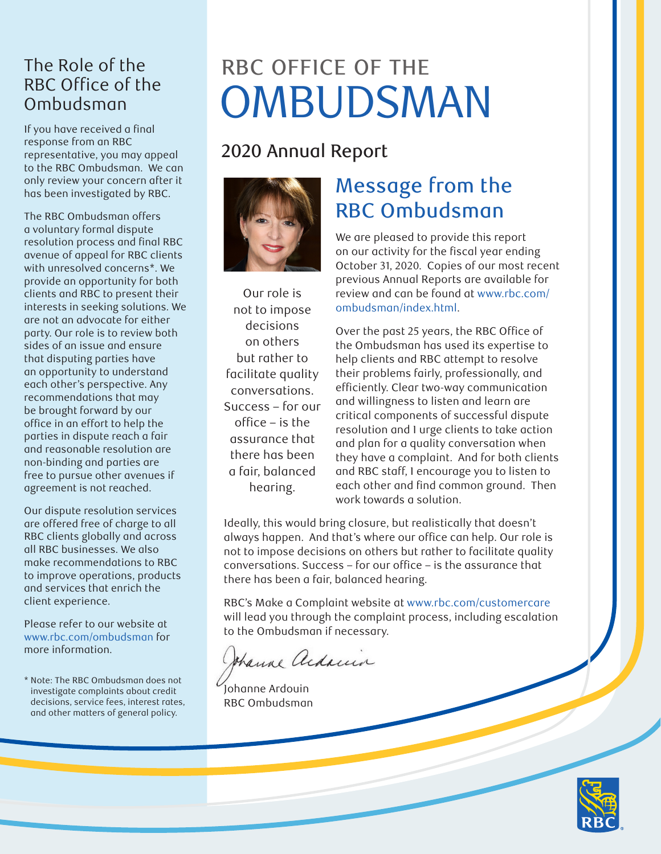#### The Role of the RBC Office of the Ombudsman

If you have received a final response from an RBC representative, you may appeal to the RBC Ombudsman. We can only review your concern after it has been investigated by RBC.

The RBC Ombudsman offers a voluntary formal dispute resolution process and final RBC avenue of appeal for RBC clients with unresolved concerns\*. We provide an opportunity for both clients and RBC to present their interests in seeking solutions. We are not an advocate for either party. Our role is to review both sides of an issue and ensure that disputing parties have an opportunity to understand each other's perspective. Any recommendations that may be brought forward by our office in an effort to help the parties in dispute reach a fair and reasonable resolution are non-binding and parties are free to pursue other avenues if agreement is not reached.

Our dispute resolution services are offered free of charge to all RBC clients globally and across all RBC businesses. We also make recommendations to RBC to improve operations, products and services that enrich the client experience.

Please refer to our website at [www.rbc.com/ombudsman](http://www.rbc.com/ombudsman) for more information.

\* Note: The RBC Ombudsman does not investigate complaints about credit decisions, service fees, interest rates, and other matters of general policy.

# RBC OFFICE OF THE OMBUDSMAN

## 2020 Annual Report



Our role is not to impose decisions on others but rather to facilitate quality conversations. Success – for our office – is the assurance that there has been a fair, balanced hearing.

## Message from the RBC Ombudsman

We are pleased to provide this report on our activity for the fiscal year ending October 31, 2020. Copies of our most recent previous Annual Reports are available for review and can be found at [www.rbc.com/](http://www.rbc.com/ombudsman/index.html) [ombudsman/index.html](http://www.rbc.com/ombudsman/index.html).

Over the past 25 years, the RBC Office of the Ombudsman has used its expertise to help clients and RBC attempt to resolve their problems fairly, professionally, and efficiently. Clear two-way communication and willingness to listen and learn are critical components of successful dispute resolution and I urge clients to take action and plan for a quality conversation when they have a complaint. And for both clients and RBC staff, I encourage you to listen to each other and find common ground. Then work towards a solution.

Ideally, this would bring closure, but realistically that doesn't always happen. And that's where our office can help. Our role is not to impose decisions on others but rather to facilitate quality conversations. Success – for our office – is the assurance that there has been a fair, balanced hearing.

RBC's Make a Complaint website at [www.rbc.com/customercare](http://www.rbc.com/customercare) will lead you through the complaint process, including escalation to the Ombudsman if necessary.

thank adams

Johanne Ardouin RBC Ombudsman